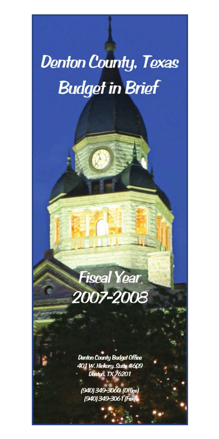# **Denton County, Texas Budget in Brief**



**Donton County Budget Office** 401 W. Hickory, Suite #609 Donton, TX 76201

(940) 349-3060 (Office) (940) 349-3061 (Fax)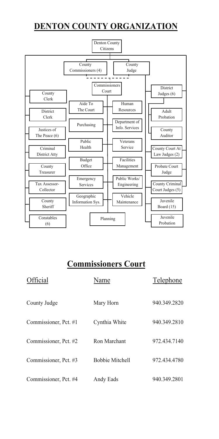# **DENTON COUNTY ORGANIZATION**



# **Commissioners Court**

| Official              | Name                   | Telephone    |
|-----------------------|------------------------|--------------|
| County Judge          | Mary Horn              | 940.349.2820 |
| Commissioner, Pct. #1 | Cynthia White          | 940.349.2810 |
| Commissioner, Pct. #2 | Ron Marchant           | 972.434.7140 |
| Commissioner, Pct. #3 | <b>Bobbie Mitchell</b> | 972.434.4780 |
| Commissioner, Pct. #4 | Andy Eads              | 940.349.2801 |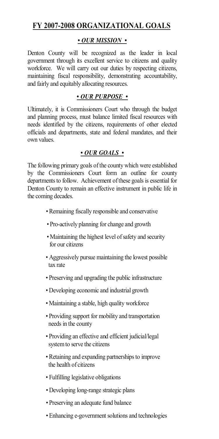### **FY 2007-2008 ORGANIZATIONAL GOALS**

#### *• OUR MISSION •*

Denton County will be recognized as the leader in local government through its excellent service to citizens and quality workforce. We will carry out our duties by respecting citizens, maintaining fiscal responsibility, demonstrating accountability, and fairly and equitably allocating resources.

#### *• OUR PURPOSE •*

Ultimately, it is Commissioners Court who through the budget and planning process, must balance limited fiscal resources with needs identified by the citizens, requirements of other elected officials and departments, state and federal mandates, and their own values.

#### *• OUR GOALS •*

The following primary goals of the county which were established by the Commissioners Court form an outline for county departments to follow. Achievement of these goals is essential for Denton County to remain an effective instrument in public life in the coming decades.

- *•* Remaining fiscally responsible and conservative
- Pro-actively planning for change and growth
- Maintaining the highest level of safety and security for our citizens
- Aggressively pursue maintaining the lowest possible tax rate
- Preserving and upgrading the public infrastructure
- Developing economic and industrial growth
- Maintaining a stable, high quality workforce
- Providing support for mobility and transportation needs in the county
- Providing an effective and efficient judicial/legal system to serve the citizens
- Retaining and expanding partnerships to improve the health of citizens
- Fulfilling legislative obligations
- *•* Developing long-range strategic plans
- *•* Preserving an adequate fund balance
- *•* Enhancing e-government solutions and technologies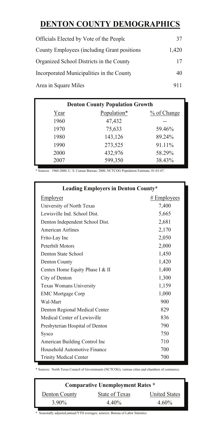# **DENTON COUNTY DEMOGRAPHICS**

| Officials Elected by Vote of the People      | 37    |
|----------------------------------------------|-------|
| County Employees (including Grant positions) | 1.420 |
| Organized School Districts in the County     | 17    |
| Incorporated Municipalities in the County    | 40    |
| Area in Square Miles                         | 911   |

| <b>Denton County Population Growth</b> |             |             |  |  |
|----------------------------------------|-------------|-------------|--|--|
| Year                                   | Population* | % of Change |  |  |
| 1960                                   | 47,432      |             |  |  |
| 1970                                   | 75,633      | 59.46%      |  |  |
| 1980                                   | 143,126     | 89.24%      |  |  |
| 1990                                   | 273,525     | 91.11%      |  |  |
| 2000                                   | 432,976     | 58.29%      |  |  |
| 2007                                   | 599,350     | 38.43%      |  |  |

\* Sources: 1960-2000, U. S. Census Bureau; 2000, NCTCOG Population Estimate, 01-01-07.

| Leading Employers in Denton County* |               |  |  |
|-------------------------------------|---------------|--|--|
| Employer                            | $#$ Employees |  |  |
| University of North Texas           | 7,400         |  |  |
| Lewisville Ind. School Dist.        | 5,665         |  |  |
| Denton Independent School Dist.     | 2,681         |  |  |
| American Airlines                   | 2,170         |  |  |
| Frito-Lay Inc                       | 2,050         |  |  |
| Peterbilt Motors                    | 2,000         |  |  |
| Denton State School                 | 1,450         |  |  |
| Denton County                       | 1,420         |  |  |
| Centex Home Equity Phase I & II     | 1,400         |  |  |
| City of Denton                      | 1,300         |  |  |
| Texas Womans University             | 1,159         |  |  |
| <b>EMC Mortgage Corp</b>            | 1,000         |  |  |
| Wal-Mart                            | 900           |  |  |
| Denton Regional Medical Center      | 829           |  |  |
| Medical Center of Lewisville        | 836           |  |  |
| Presbyterian Hospital of Denton     | 790           |  |  |
| <b>Sysco</b>                        | 750           |  |  |
| American Building Control Inc       | 710           |  |  |
| Household Automotive Finance        | 700           |  |  |
| <b>Trinity Medical Center</b>       | 700           |  |  |

\* Sources: North Texas Council of Governments (NCTCOG), various cities and chambers of commerce.

| <b>Comparative Unemployment Rates *</b> |                |                      |  |  |
|-----------------------------------------|----------------|----------------------|--|--|
| Denton County                           | State of Texas | <b>United States</b> |  |  |
| 3.90%                                   | 4.40%          | $4.60\%$             |  |  |

\* Seasonally adjusted;annual/YTD averages; sources: Bureau of Labor Statistics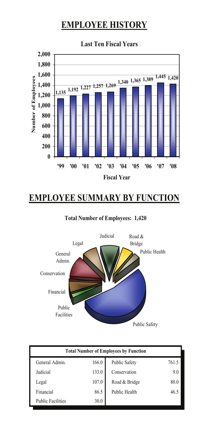# **EMPLOYEE HISTORY**



# **EMPLOYEE SUMMARY BY FUNCTION**

**Total Number of Employees: 1,420**



| <b>Total Number of Employees by Function</b> |       |                      |       |  |
|----------------------------------------------|-------|----------------------|-------|--|
| General Admin.                               | 166.0 | <b>Public Safety</b> | 761.5 |  |
| Judicial                                     | 133.0 | Conservation         | 9.0   |  |
| Legal                                        | 107.0 | Road & Bridge        | 80.0  |  |
| Financial                                    | 86.5  | Public Health        | 46.5  |  |
| <b>Public Facilities</b>                     | 30.0  |                      |       |  |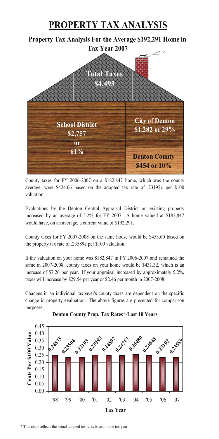# **PROPERTY TAX ANALYSIS**

**Property Tax Analysis For the Average \$192,291 Home in** 



County taxes for FY 2006-2007 on a \$182,847 home, which was the county average, were \$424.06 based on the adopted tax rate of  $.23192¢$  per \$100 valuation.

Evaluations by the Denton Central Appraisal District on existing property increased by an average of 5.2% for FY 2007. A home valued at \$182,847 would have, on an average, a current value of \$192,291.

County taxes for FY 2007-2008 on the same house would be \$453.60 based on the property tax rate of .23589¢ per \$100 valuation.

If the valuation on your home was \$182,847 in FY 2006-2007 and remained the same in 2007-2008, county taxes on your home would be \$431.32, which is an increase of \$7.26 per year. If your appraisal increased by approximately 5.2%, taxes will increase by \$29.54 per year or \$2.46 per month in 2007-2008.

Changes in an individual taxpayer's county taxes are dependent on the specific change in property evaluation. The above figures are presented for comparison purposes.



#### **Denton County Prop. Tax Rates\*-Last 10 Years**

\* This chart reflects the actual adopted tax rates based on the tax year.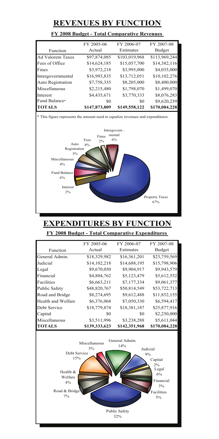## **REVENUES BY FUNCTION**

#### **FY 2008 Budget - Total Comparative Revenues**

|                         | FY 2006-07<br>FY 2005-06 |               | FY 2007-08    |  |
|-------------------------|--------------------------|---------------|---------------|--|
| Function                | Actual                   | Estimates     | Budget        |  |
| <b>Ad Valorem Taxes</b> | \$97,874,085             | \$103,019,968 | \$113,969,244 |  |
| Fees of Office          | \$14,624,185             | \$15,057,700  | \$14,382,116  |  |
| Fines                   | \$3,972,218              | \$3,995,000   | \$4,035,000   |  |
| Intergovernmental       | \$16,993,835             | \$13,712,051  | \$10,102,276  |  |
| Auto Registration       | \$7,758,335              | \$8,205,000   | \$8,400,000   |  |
| Miscellaneous           | \$2,215,480              | \$1,798,070   | \$1,499,070   |  |
| Interest                | \$4,435,671              | \$3,770,333   | \$8,076,283   |  |
| Fund Balance*           | \$0                      | \$0           | \$9,620,239   |  |
| <b>TOTALS</b>           | \$147,873,809            | \$149,558,122 | \$170,084,228 |  |



#### **EXPENDITURES BY FUNCTION**

**FY 2008 Budget - Total Comparative Expenditures** 

|                      | FY 2005-06    | FY 2006-07    | FY 2007-08    |
|----------------------|---------------|---------------|---------------|
| Function             | Actual        | Estimates     | Budget        |
| General Admin.       | \$18,329,982  | \$16,361,201  | \$23,759,569  |
| Judicial             | \$14,102,218  | \$14,688,195  | \$15,798,906  |
| Legal                | \$9,670,050   | \$9,904,917   | \$9,943,579   |
| Financial            | \$4,804,762   | \$5,123,479   | \$5,612,552   |
| Facilities           | \$6,663,211   | \$7,177,334   | \$9,061,377   |
| <b>Public Safety</b> | \$48,820,767  | \$50,814,549  | \$53,722,713  |
| Road and Bridge      | \$8,274,695   | \$9,612,488   | \$11,852,155  |
| Health and Welfare   | \$6,376,068   | \$7,050,330   | \$6,594,417   |
| Debt Service         | \$18,779,874  | \$18,381,187  | \$25,877,916  |
| Capital              | \$0           | SO.           | \$2,250,000   |
| Miscellaneous        | \$3,511,996   | \$3,238,288   | \$5,611,044   |
| <b>ITOTALS</b>       | \$139,333,623 | \$142,351,968 | \$170,084,228 |